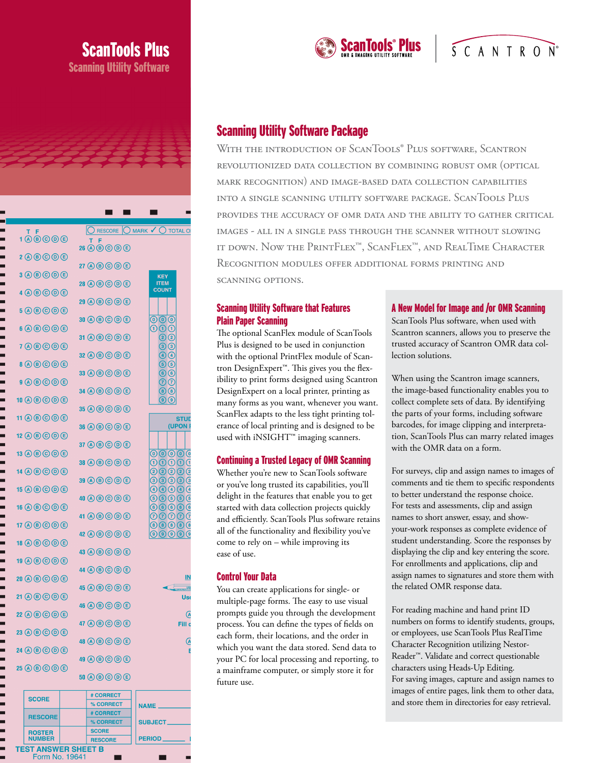|                                                                     |                                                                                                                               |  | 2000 CDC DC                                                         |                                       |                                                                                                   |
|---------------------------------------------------------------------|-------------------------------------------------------------------------------------------------------------------------------|--|---------------------------------------------------------------------|---------------------------------------|---------------------------------------------------------------------------------------------------|
|                                                                     |                                                                                                                               |  |                                                                     |                                       |                                                                                                   |
|                                                                     |                                                                                                                               |  |                                                                     |                                       |                                                                                                   |
|                                                                     | 100000                                                                                                                        |  | <b>RESCORE</b><br>$26$ (A) $\bigcirc$ (B) $\bigcirc$ (B) $\bigcirc$ | $\bigcup$ mark $\checkmark$ (         | ) TOTAL OI                                                                                        |
|                                                                     |                                                                                                                               |  | $27$ (A) $\bigcirc$ (B) $\bigcirc$ (D) $\bigcirc$                   |                                       |                                                                                                   |
|                                                                     | $3$ (A) $\bigcirc$ (D) $\bigcirc$                                                                                             |  | 28 (A) $\circled{B}$ (C) $\circled{D}$ (E)                          | <b>KEY</b><br><b>ITEM</b>             |                                                                                                   |
|                                                                     | $4\, \textcircled{\textcircled{\tiny{R}}}\, \textcircled{\textcircled{\tiny{R}}} \oplus \textcircled{\textcircled{\tiny{R}}}$ |  | $29$ (A) $\bigcirc$ (B) $\bigcirc$ (D) $\bigcirc$                   | <b>COUNT</b>                          |                                                                                                   |
|                                                                     | $5$ (A) $\bigcirc$ (D) $\bigcirc$                                                                                             |  | $30$ (A) $\bigcirc$ (C) $\bigcirc$ (E)                              | $\left( 0 \right)$ $\left( 0 \right)$ |                                                                                                   |
|                                                                     | $6$ (A) $\circledcirc$ (O) $\circledcirc$                                                                                     |  | $31$ (A) $\bigcirc$ (B) $\bigcirc$ (D) $\bigcirc$                   | ന<br>1<br>$\overline{\mathbf{2}}$     | (1<br>$\left( 2\right)$                                                                           |
|                                                                     | $7$ (A) $\circledcirc$ (O) $\circledcirc$<br>$8$ (A) $\circledcirc$ (O) $\circledcirc$                                        |  | $32$ (A) $\bigcirc$ (C) $\bigcirc$ (E)                              |                                       | $\left(3\right)$<br>$\left(4\right)$<br>(5)                                                       |
|                                                                     | $9$ $0$ $0$ $0$ $0$ $0$                                                                                                       |  | $33$ (A) $\bigcirc$ (D) $\bigcirc$                                  |                                       | (6)<br>(7)                                                                                        |
|                                                                     | $10$ (A) $\bigcirc$ (B) $\bigcirc$ (B) $\bigcirc$                                                                             |  | $34$ (A) $\bigcirc$ (C) $\bigcirc$ (E)                              |                                       | $\left( \mathbf{8}\right)$<br>$\mathbf{g}$                                                        |
|                                                                     | 11 (A) (B) (O) (B)                                                                                                            |  | $35$ (A) $\bigcirc$ (C) $\bigcirc$ (E)                              |                                       | STUD                                                                                              |
|                                                                     | $12$ (A) $\bigcirc$ (B) $\bigcirc$ (B) $\bigcirc$                                                                             |  | $36$ (A) (B) (C) (D) (E)                                            |                                       | (UPON I                                                                                           |
|                                                                     | $13$ (A) $\bigcirc$ (C) $\bigcirc$ (E)                                                                                        |  | $37$ (A) $\bigcirc$ (B) $\bigcirc$ (D) $\bigcirc$                   | (0)(0)(0)(0)                          | $\overline{0}$                                                                                    |
|                                                                     | $14$ (A) $\bigcirc$ (D) $\bigcirc$                                                                                            |  | 38 A B C D E                                                        | $\left( 1\right)$<br>1                | (1)<br>(1)<br>1<br>$\left( 2\right)$<br>$\mathbf{2}$                                              |
|                                                                     | $15$ (A) (B) (C) (E)                                                                                                          |  | $39$ (A) $(B)$ (C) $(D)$ (E)                                        | $\left(3\right)$<br>$\left[ \right]$  | $\left(3\right)$<br>$\overline{\mathbf{3}}$<br>(4)                                                |
|                                                                     | 16 (A) (B) (O) (E)                                                                                                            |  | 40 (A) $\bigcirc$ (C) $\bigcirc$ (E)                                | (5)<br>(5<br>(6)(6)(6)(6)             | $\left(5\right)$<br>(6)                                                                           |
|                                                                     | $17$ (A) $\bigcirc$ (C) $\bigcirc$ (E)                                                                                        |  | 41 A B C D E<br>$42$ (A) $\bigcirc$ (C) $\bigcirc$ (E)              |                                       | <u>のののので</u><br>(8)(8)(8)(8)<br>$\left( 9\right) \left( 9\right) \left( 9\right) \left( 9\right)$ |
|                                                                     | $18$ (A) $\bigcirc$ (D) $\bigcirc$                                                                                            |  | $43$ $\textcircled{a}$ $\textcircled{b}$ $\textcircled{c}$          |                                       |                                                                                                   |
|                                                                     | $19$ (A) $\bigcirc$ (B) $\bigcirc$ (B)                                                                                        |  | $44$ (A) $\bigcirc$ $\bigcirc$ $\bigcirc$ $\bigcirc$                |                                       |                                                                                                   |
|                                                                     | $20$ (A $\bigcirc$ $\bigcirc$ $\bigcirc$ $\bigcirc$                                                                           |  | $45$ $\Theta$ $\Theta$ $\Theta$ $\Theta$                            |                                       | <u>IN</u><br>USI                                                                                  |
|                                                                     | $21$ (A) $\bigcirc$ (C) $\bigcirc$ (E)                                                                                        |  | $46$ (A $\bigcirc$ $\bigcirc$ $\bigcirc$ $\bigcirc$                 |                                       | <b>Ust</b>                                                                                        |
|                                                                     | $22$ (A) $\bigcirc$ (B) $\bigcirc$ (D) $\bigcirc$                                                                             |  | $47$ (A) $\bigcirc$ (C) $\bigcirc$ (E)                              |                                       | (A<br>Fill c                                                                                      |
|                                                                     | 23 A B C O E                                                                                                                  |  | $48$ (A) $\bigcirc$ (C) $\bigcirc$ (E)                              |                                       | (A                                                                                                |
| 24 A B C O E<br>$25$ (A $\bigcirc$ $\bigcirc$ $\bigcirc$ $\bigcirc$ |                                                                                                                               |  | 49 A B C O C                                                        |                                       | E                                                                                                 |
|                                                                     |                                                                                                                               |  | $50$ (A $\bigcirc$ $\bigcirc$ $\bigcirc$ $\bigcirc$                 |                                       |                                                                                                   |
|                                                                     | <b>SCORE</b>                                                                                                                  |  | # CORRECT<br>% CORRECT                                              | NAME_                                 |                                                                                                   |
|                                                                     | <b>RESCORE</b>                                                                                                                |  | # CORRECT                                                           |                                       |                                                                                                   |
|                                                                     | <b>ROSTER</b>                                                                                                                 |  | % CORRECT<br><b>SCORE</b>                                           | SUBJECT__                             |                                                                                                   |
|                                                                     | <b>NUMBER</b>                                                                                                                 |  | <b>RESCORE</b>                                                      | <b>PERIOD_</b>                        |                                                                                                   |

**TEST ANSWER SHEET B** Form No. 19641

ScanTools Plus

Scanning Utility Software



# $S$  C A N T R O  $N^{\circ}$

# Scanning Utility Software Package

WITH THE INTRODUCTION OF SCANTOOLS® PLUS SOFTWARE, SCANTRON revolutionized data collection by combining robust omr (optical mark recognition) and image-based data collection capabilities into a single scanning utility software package. ScanTools Plus provides the accuracy of omr data and the ability to gather critical images - all in a single pass through the scanner without slowing it down. Now the PrintFlex™, ScanFlex™, and RealTime Character Recognition modules offer additional forms printing and scanning options.

#### Scanning Utility Software that Features Plain Paper Scanning

The optional ScanFlex module of ScanTools Plus is designed to be used in conjunction with the optional PrintFlex module of Scantron DesignExpert™. This gives you the flexibility to print forms designed using Scantron DesignExpert on a local printer, printing as many forms as you want, whenever you want. ScanFlex adapts to the less tight printing tolerance of local printing and is designed to be used with iNSIGHT™ imaging scanners.

#### Continuing a Trusted Legacy of OMR Scanning

Whether you're new to ScanTools software or you've long trusted its capabilities, you'll delight in the features that enable you to get started with data collection projects quickly and efficiently. ScanTools Plus software retains all of the functionality and flexibility you've come to rely on – while improving its ease of use.

#### Control Your Data

You can create applications for single- or multiple-page forms. The easy to use visual prompts guide you through the development process. You can define the types of fields on each form, their locations, and the order in which you want the data stored. Send data to your PC for local processing and reporting, to a mainframe computer, or simply store it for future use.

#### A New Model for Image and /or OMR Scanning

ScanTools Plus software, when used with Scantron scanners, allows you to preserve the trusted accuracy of Scantron OMR data collection solutions.

When using the Scantron image scanners, the image-based functionality enables you to collect complete sets of data. By identifying the parts of your forms, including software barcodes, for image clipping and interpretation, ScanTools Plus can marry related images with the OMR data on a form.

For surveys, clip and assign names to images of comments and tie them to specific respondents to better understand the response choice. For tests and assessments, clip and assign names to short answer, essay, and showyour-work responses as complete evidence of student understanding. Score the responses by displaying the clip and key entering the score. For enrollments and applications, clip and assign names to signatures and store them with the related OMR response data.

For reading machine and hand print ID numbers on forms to identify students, groups, or employees, use ScanTools Plus RealTime Character Recognition utilizing Nestor-Reader™. Validate and correct questionable characters using Heads-Up Editing. For saving images, capture and assign names to images of entire pages, link them to other data, and store them in directories for easy retrieval.